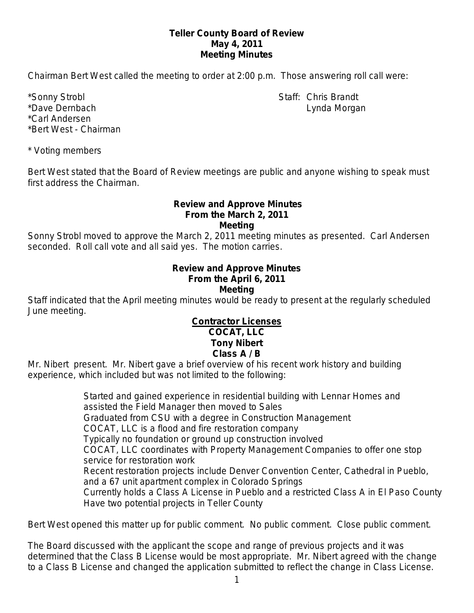### **Teller County Board of Review May 4, 2011 Meeting Minutes**

Chairman Bert West called the meeting to order at 2:00 p.m. Those answering roll call were:

\*Sonny Strobl Staff: Chris Brandt \*Dave Dernbach **Lynda Morgan** National Communication and Lynda Morgan Lynda Morgan \*Carl Andersen \*Bert West - Chairman

\* Voting members

Bert West stated that the Board of Review meetings are public and anyone wishing to speak must first address the Chairman.

#### **Review and Approve Minutes From the March 2, 2011 Meeting**

Sonny Strobl moved to approve the March 2, 2011 meeting minutes as presented. Carl Andersen seconded. Roll call vote and all said yes. The motion carries.

#### **Review and Approve Minutes From the April 6, 2011 Meeting**

Staff indicated that the April meeting minutes would be ready to present at the regularly scheduled June meeting.

## **Contractor Licenses COCAT, LLC Tony Nibert Class A / B**

Mr. Nibert present. Mr. Nibert gave a brief overview of his recent work history and building experience, which included but was not limited to the following:

> Started and gained experience in residential building with Lennar Homes and assisted the Field Manager then moved to Sales Graduated from CSU with a degree in Construction Management COCAT, LLC is a flood and fire restoration company Typically no foundation or ground up construction involved COCAT, LLC coordinates with Property Management Companies to offer one stop service for restoration work Recent restoration projects include Denver Convention Center, Cathedral in Pueblo, and a 67 unit apartment complex in Colorado Springs Currently holds a Class A License in Pueblo and a restricted Class A in El Paso County Have two potential projects in Teller County

Bert West opened this matter up for public comment. No public comment. Close public comment.

The Board discussed with the applicant the scope and range of previous projects and it was determined that the Class B License would be most appropriate. Mr. Nibert agreed with the change to a Class B License and changed the application submitted to reflect the change in Class License.